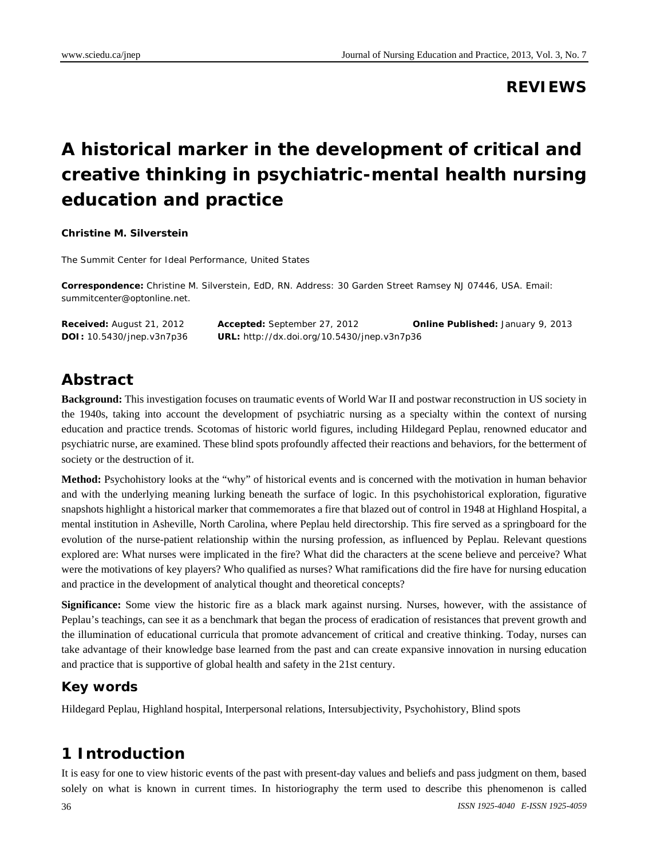### **REVIEWS**

# **A historical marker in the development of critical and creative thinking in psychiatric-mental health nursing education and practice**

#### **Christine M. Silverstein**

The Summit Center for Ideal Performance, United States

**Correspondence:** Christine M. Silverstein, EdD, RN. Address: 30 Garden Street Ramsey NJ 07446, USA. Email: summitcenter@optonline.net.

| <b>Received:</b> August 21, 2012 | <b>Accepted:</b> September 27, 2012                | <b>Online Published: January 9, 2013</b> |
|----------------------------------|----------------------------------------------------|------------------------------------------|
| <b>DOI:</b> 10.5430/jnep.v3n7p36 | <b>URL:</b> http://dx.doi.org/10.5430/jnep.v3n7p36 |                                          |

### **Abstract**

**Background:** This investigation focuses on traumatic events of World War II and postwar reconstruction in US society in the 1940s, taking into account the development of psychiatric nursing as a specialty within the context of nursing education and practice trends. Scotomas of historic world figures, including Hildegard Peplau, renowned educator and psychiatric nurse, are examined. These blind spots profoundly affected their reactions and behaviors, for the betterment of society or the destruction of it.

**Method:** Psychohistory looks at the "why" of historical events and is concerned with the motivation in human behavior and with the underlying meaning lurking beneath the surface of logic. In this psychohistorical exploration, figurative snapshots highlight a historical marker that commemorates a fire that blazed out of control in 1948 at Highland Hospital, a mental institution in Asheville, North Carolina, where Peplau held directorship. This fire served as a springboard for the evolution of the nurse-patient relationship within the nursing profession, as influenced by Peplau. Relevant questions explored are: What nurses were implicated in the fire? What did the characters at the scene believe and perceive? What were the motivations of key players? Who qualified as nurses? What ramifications did the fire have for nursing education and practice in the development of analytical thought and theoretical concepts?

**Significance:** Some view the historic fire as a black mark against nursing. Nurses, however, with the assistance of Peplau's teachings, can see it as a benchmark that began the process of eradication of resistances that prevent growth and the illumination of educational curricula that promote advancement of critical and creative thinking. Today, nurses can take advantage of their knowledge base learned from the past and can create expansive innovation in nursing education and practice that is supportive of global health and safety in the 21st century.

#### **Key words**

Hildegard Peplau, Highland hospital, Interpersonal relations, Intersubjectivity, Psychohistory, Blind spots

### **1 Introduction**

It is easy for one to view historic events of the past with present-day values and beliefs and pass judgment on them, based solely on what is known in current times. In historiography the term used to describe this phenomenon is called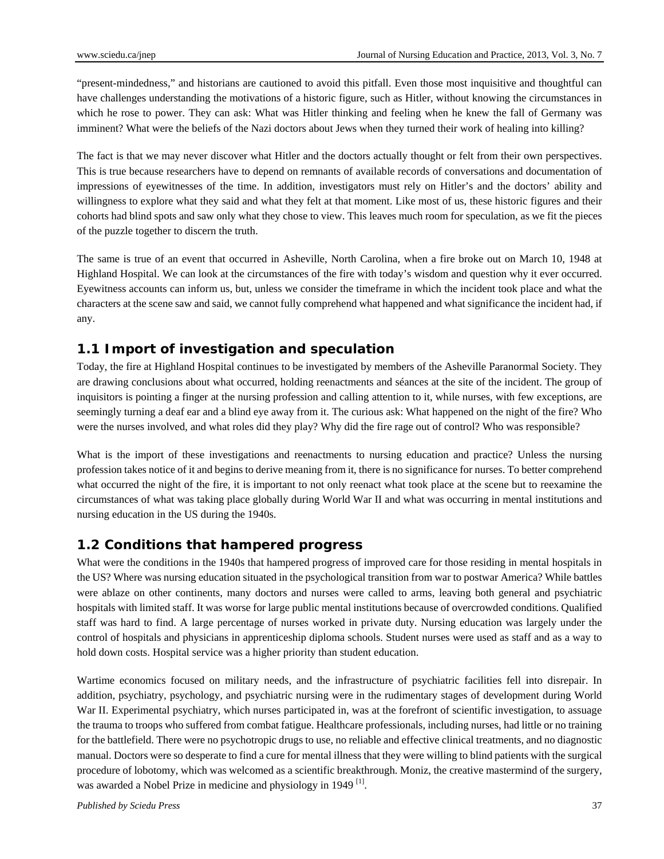"present-mindedness," and historians are cautioned to avoid this pitfall. Even those most inquisitive and thoughtful can have challenges understanding the motivations of a historic figure, such as Hitler, without knowing the circumstances in which he rose to power. They can ask: What was Hitler thinking and feeling when he knew the fall of Germany was imminent? What were the beliefs of the Nazi doctors about Jews when they turned their work of healing into killing?

The fact is that we may never discover what Hitler and the doctors actually thought or felt from their own perspectives. This is true because researchers have to depend on remnants of available records of conversations and documentation of impressions of eyewitnesses of the time. In addition, investigators must rely on Hitler's and the doctors' ability and willingness to explore what they said and what they felt at that moment. Like most of us, these historic figures and their cohorts had blind spots and saw only what they chose to view. This leaves much room for speculation, as we fit the pieces of the puzzle together to discern the truth.

The same is true of an event that occurred in Asheville, North Carolina, when a fire broke out on March 10, 1948 at Highland Hospital. We can look at the circumstances of the fire with today's wisdom and question why it ever occurred. Eyewitness accounts can inform us, but, unless we consider the timeframe in which the incident took place and what the characters at the scene saw and said, we cannot fully comprehend what happened and what significance the incident had, if any.

### **1.1 Import of investigation and speculation**

Today, the fire at Highland Hospital continues to be investigated by members of the Asheville Paranormal Society. They are drawing conclusions about what occurred, holding reenactments and séances at the site of the incident. The group of inquisitors is pointing a finger at the nursing profession and calling attention to it, while nurses, with few exceptions, are seemingly turning a deaf ear and a blind eye away from it. The curious ask: What happened on the night of the fire? Who were the nurses involved, and what roles did they play? Why did the fire rage out of control? Who was responsible?

What is the import of these investigations and reenactments to nursing education and practice? Unless the nursing profession takes notice of it and begins to derive meaning from it, there is no significance for nurses. To better comprehend what occurred the night of the fire, it is important to not only reenact what took place at the scene but to reexamine the circumstances of what was taking place globally during World War II and what was occurring in mental institutions and nursing education in the US during the 1940s.

#### **1.2 Conditions that hampered progress**

What were the conditions in the 1940s that hampered progress of improved care for those residing in mental hospitals in the US? Where was nursing education situated in the psychological transition from war to postwar America? While battles were ablaze on other continents, many doctors and nurses were called to arms, leaving both general and psychiatric hospitals with limited staff. It was worse for large public mental institutions because of overcrowded conditions. Qualified staff was hard to find. A large percentage of nurses worked in private duty. Nursing education was largely under the control of hospitals and physicians in apprenticeship diploma schools. Student nurses were used as staff and as a way to hold down costs. Hospital service was a higher priority than student education.

Wartime economics focused on military needs, and the infrastructure of psychiatric facilities fell into disrepair. In addition, psychiatry, psychology, and psychiatric nursing were in the rudimentary stages of development during World War II. Experimental psychiatry, which nurses participated in, was at the forefront of scientific investigation, to assuage the trauma to troops who suffered from combat fatigue. Healthcare professionals, including nurses, had little or no training for the battlefield. There were no psychotropic drugs to use, no reliable and effective clinical treatments, and no diagnostic manual. Doctors were so desperate to find a cure for mental illness that they were willing to blind patients with the surgical procedure of lobotomy, which was welcomed as a scientific breakthrough. Moniz, the creative mastermind of the surgery, was awarded a Nobel Prize in medicine and physiology in 1949<sup>[1]</sup>.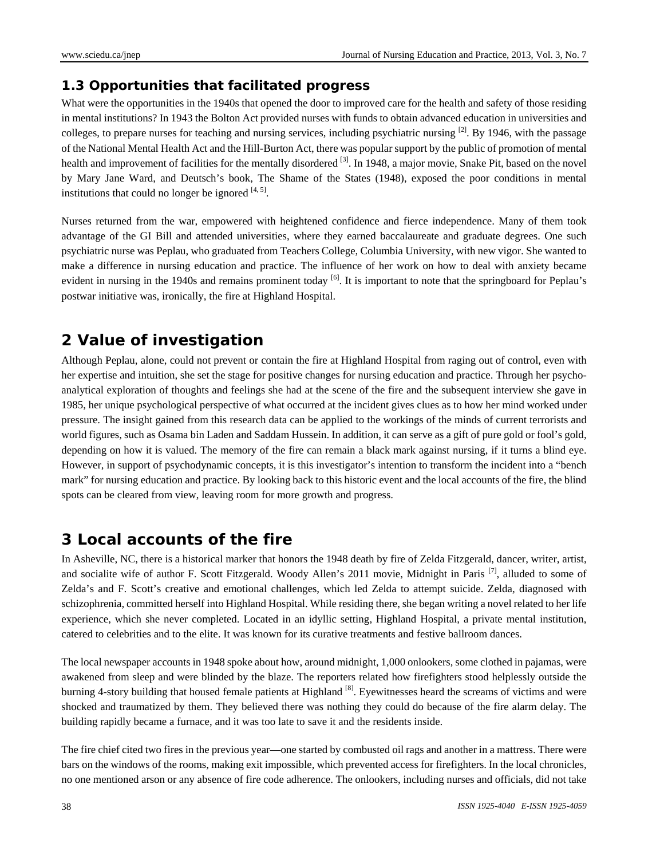### **1.3 Opportunities that facilitated progress**

What were the opportunities in the 1940s that opened the door to improved care for the health and safety of those residing in mental institutions? In 1943 the Bolton Act provided nurses with funds to obtain advanced education in universities and colleges, to prepare nurses for teaching and nursing services, including psychiatric nursing  $^{[2]}$ . By 1946, with the passage of the National Mental Health Act and the Hill-Burton Act, there was popular support by the public of promotion of mental health and improvement of facilities for the mentally disordered  $^{[3]}$ . In 1948, a major movie, Snake Pit, based on the novel by Mary Jane Ward, and Deutsch's book, The Shame of the States (1948), exposed the poor conditions in mental institutions that could no longer be ignored  $[4, 5]$ .

Nurses returned from the war, empowered with heightened confidence and fierce independence. Many of them took advantage of the GI Bill and attended universities, where they earned baccalaureate and graduate degrees. One such psychiatric nurse was Peplau, who graduated from Teachers College, Columbia University, with new vigor. She wanted to make a difference in nursing education and practice. The influence of her work on how to deal with anxiety became evident in nursing in the 1940s and remains prominent today <sup>[6]</sup>. It is important to note that the springboard for Peplau's postwar initiative was, ironically, the fire at Highland Hospital.

## **2 Value of investigation**

Although Peplau, alone, could not prevent or contain the fire at Highland Hospital from raging out of control, even with her expertise and intuition, she set the stage for positive changes for nursing education and practice. Through her psychoanalytical exploration of thoughts and feelings she had at the scene of the fire and the subsequent interview she gave in 1985, her unique psychological perspective of what occurred at the incident gives clues as to how her mind worked under pressure. The insight gained from this research data can be applied to the workings of the minds of current terrorists and world figures, such as Osama bin Laden and Saddam Hussein. In addition, it can serve as a gift of pure gold or fool's gold, depending on how it is valued. The memory of the fire can remain a black mark against nursing, if it turns a blind eye. However, in support of psychodynamic concepts, it is this investigator's intention to transform the incident into a "bench mark" for nursing education and practice. By looking back to this historic event and the local accounts of the fire, the blind spots can be cleared from view, leaving room for more growth and progress.

### **3 Local accounts of the fire**

In Asheville, NC, there is a historical marker that honors the 1948 death by fire of Zelda Fitzgerald, dancer, writer, artist, and socialite wife of author F. Scott Fitzgerald. Woody Allen's 2011 movie, Midnight in Paris [7], alluded to some of Zelda's and F. Scott's creative and emotional challenges, which led Zelda to attempt suicide. Zelda, diagnosed with schizophrenia, committed herself into Highland Hospital. While residing there, she began writing a novel related to her life experience, which she never completed. Located in an idyllic setting, Highland Hospital, a private mental institution, catered to celebrities and to the elite. It was known for its curative treatments and festive ballroom dances.

The local newspaper accounts in 1948 spoke about how, around midnight, 1,000 onlookers, some clothed in pajamas, were awakened from sleep and were blinded by the blaze. The reporters related how firefighters stood helplessly outside the burning 4-story building that housed female patients at Highland [8]. Eyewitnesses heard the screams of victims and were shocked and traumatized by them. They believed there was nothing they could do because of the fire alarm delay. The building rapidly became a furnace, and it was too late to save it and the residents inside.

The fire chief cited two fires in the previous year—one started by combusted oil rags and another in a mattress. There were bars on the windows of the rooms, making exit impossible, which prevented access for firefighters. In the local chronicles, no one mentioned arson or any absence of fire code adherence. The onlookers, including nurses and officials, did not take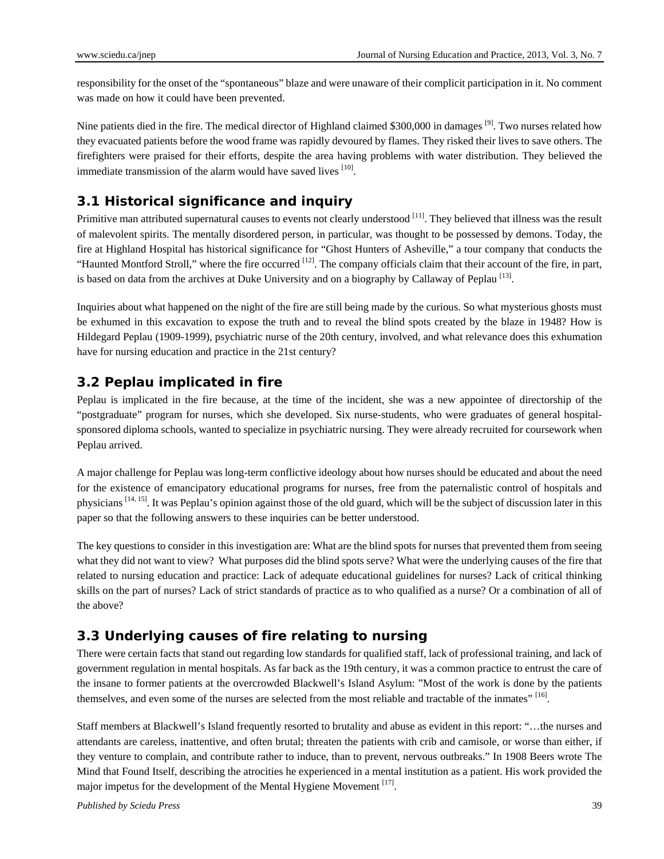responsibility for the onset of the "spontaneous" blaze and were unaware of their complicit participation in it. No comment was made on how it could have been prevented.

Nine patients died in the fire. The medical director of Highland claimed \$300,000 in damages <sup>[9]</sup>. Two nurses related how they evacuated patients before the wood frame was rapidly devoured by flames. They risked their lives to save others. The firefighters were praised for their efforts, despite the area having problems with water distribution. They believed the immediate transmission of the alarm would have saved lives  $[10]$ .

### **3.1 Historical significance and inquiry**

Primitive man attributed supernatural causes to events not clearly understood  $[11]$ . They believed that illness was the result of malevolent spirits. The mentally disordered person, in particular, was thought to be possessed by demons. Today, the fire at Highland Hospital has historical significance for "Ghost Hunters of Asheville," a tour company that conducts the "Haunted Montford Stroll," where the fire occurred <sup>[12]</sup>. The company officials claim that their account of the fire, in part, is based on data from the archives at Duke University and on a biography by Callaway of Peplau<sup>[13]</sup>.

Inquiries about what happened on the night of the fire are still being made by the curious. So what mysterious ghosts must be exhumed in this excavation to expose the truth and to reveal the blind spots created by the blaze in 1948? How is Hildegard Peplau (1909-1999), psychiatric nurse of the 20th century, involved, and what relevance does this exhumation have for nursing education and practice in the 21st century?

### **3.2 Peplau implicated in fire**

Peplau is implicated in the fire because, at the time of the incident, she was a new appointee of directorship of the "postgraduate" program for nurses, which she developed. Six nurse-students, who were graduates of general hospitalsponsored diploma schools, wanted to specialize in psychiatric nursing. They were already recruited for coursework when Peplau arrived.

A major challenge for Peplau was long-term conflictive ideology about how nurses should be educated and about the need for the existence of emancipatory educational programs for nurses, free from the paternalistic control of hospitals and physicians  $[14, 15]$ . It was Peplau's opinion against those of the old guard, which will be the subject of discussion later in this paper so that the following answers to these inquiries can be better understood.

The key questions to consider in this investigation are: What are the blind spots for nurses that prevented them from seeing what they did not want to view? What purposes did the blind spots serve? What were the underlying causes of the fire that related to nursing education and practice: Lack of adequate educational guidelines for nurses? Lack of critical thinking skills on the part of nurses? Lack of strict standards of practice as to who qualified as a nurse? Or a combination of all of the above?

### **3.3 Underlying causes of fire relating to nursing**

There were certain facts that stand out regarding low standards for qualified staff, lack of professional training, and lack of government regulation in mental hospitals. As far back as the 19th century, it was a common practice to entrust the care of the insane to former patients at the overcrowded Blackwell's Island Asylum: "Most of the work is done by the patients themselves, and even some of the nurses are selected from the most reliable and tractable of the inmates" [16].

Staff members at Blackwell's Island frequently resorted to brutality and abuse as evident in this report: "…the nurses and attendants are careless, inattentive, and often brutal; threaten the patients with crib and camisole, or worse than either, if they venture to complain, and contribute rather to induce, than to prevent, nervous outbreaks." In 1908 Beers wrote The Mind that Found Itself, describing the atrocities he experienced in a mental institution as a patient. His work provided the major impetus for the development of the Mental Hygiene Movement [17].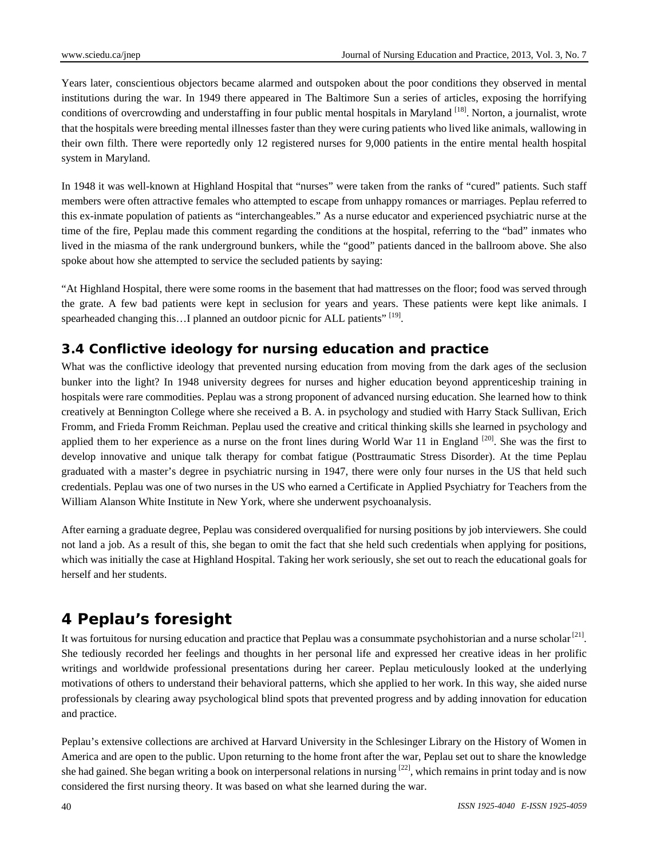Years later, conscientious objectors became alarmed and outspoken about the poor conditions they observed in mental institutions during the war. In 1949 there appeared in The Baltimore Sun a series of articles, exposing the horrifying conditions of overcrowding and understaffing in four public mental hospitals in Maryland [18]. Norton, a journalist, wrote that the hospitals were breeding mental illnesses faster than they were curing patients who lived like animals, wallowing in their own filth. There were reportedly only 12 registered nurses for 9,000 patients in the entire mental health hospital system in Maryland.

In 1948 it was well-known at Highland Hospital that "nurses" were taken from the ranks of "cured" patients. Such staff members were often attractive females who attempted to escape from unhappy romances or marriages. Peplau referred to this ex-inmate population of patients as "interchangeables." As a nurse educator and experienced psychiatric nurse at the time of the fire, Peplau made this comment regarding the conditions at the hospital, referring to the "bad" inmates who lived in the miasma of the rank underground bunkers, while the "good" patients danced in the ballroom above. She also spoke about how she attempted to service the secluded patients by saying:

"At Highland Hospital, there were some rooms in the basement that had mattresses on the floor; food was served through the grate. A few bad patients were kept in seclusion for years and years. These patients were kept like animals. I spearheaded changing this...I planned an outdoor picnic for ALL patients" [19].

### **3.4 Conflictive ideology for nursing education and practice**

What was the conflictive ideology that prevented nursing education from moving from the dark ages of the seclusion bunker into the light? In 1948 university degrees for nurses and higher education beyond apprenticeship training in hospitals were rare commodities. Peplau was a strong proponent of advanced nursing education. She learned how to think creatively at Bennington College where she received a B. A. in psychology and studied with Harry Stack Sullivan, Erich Fromm, and Frieda Fromm Reichman. Peplau used the creative and critical thinking skills she learned in psychology and applied them to her experience as a nurse on the front lines during World War 11 in England <sup>[20]</sup>. She was the first to develop innovative and unique talk therapy for combat fatigue (Posttraumatic Stress Disorder). At the time Peplau graduated with a master's degree in psychiatric nursing in 1947, there were only four nurses in the US that held such credentials. Peplau was one of two nurses in the US who earned a Certificate in Applied Psychiatry for Teachers from the William Alanson White Institute in New York, where she underwent psychoanalysis.

After earning a graduate degree, Peplau was considered overqualified for nursing positions by job interviewers. She could not land a job. As a result of this, she began to omit the fact that she held such credentials when applying for positions, which was initially the case at Highland Hospital. Taking her work seriously, she set out to reach the educational goals for herself and her students.

## **4 Peplau's foresight**

It was fortuitous for nursing education and practice that Peplau was a consummate psychohistorian and a nurse scholar<sup>[21]</sup>. She tediously recorded her feelings and thoughts in her personal life and expressed her creative ideas in her prolific writings and worldwide professional presentations during her career. Peplau meticulously looked at the underlying motivations of others to understand their behavioral patterns, which she applied to her work. In this way, she aided nurse professionals by clearing away psychological blind spots that prevented progress and by adding innovation for education and practice.

Peplau's extensive collections are archived at Harvard University in the Schlesinger Library on the History of Women in America and are open to the public. Upon returning to the home front after the war, Peplau set out to share the knowledge she had gained. She began writing a book on interpersonal relations in nursing  $[22]$ , which remains in print today and is now considered the first nursing theory. It was based on what she learned during the war.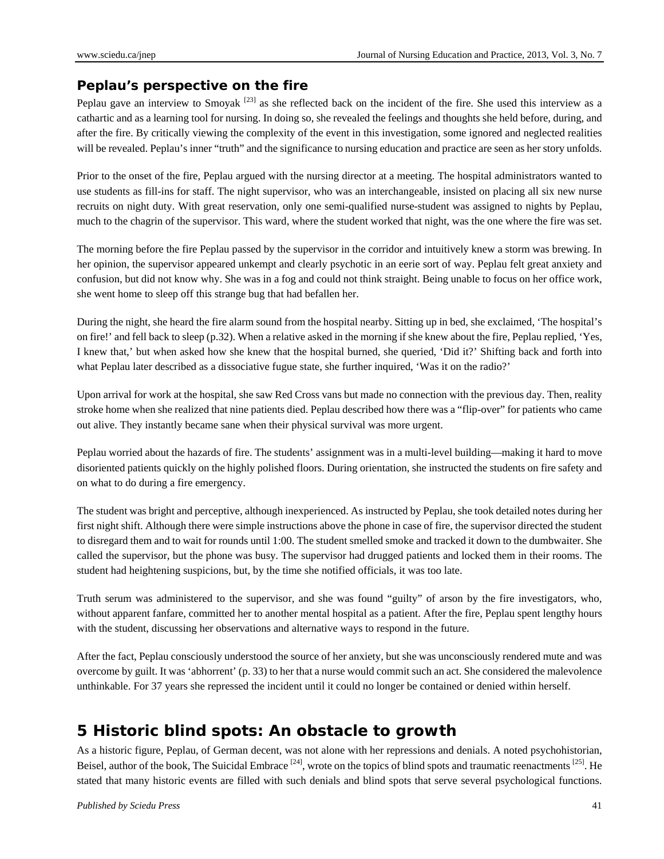#### **Peplau's perspective on the fire**

Peplau gave an interview to Smoyak <sup>[23]</sup> as she reflected back on the incident of the fire. She used this interview as a cathartic and as a learning tool for nursing. In doing so, she revealed the feelings and thoughts she held before, during, and after the fire. By critically viewing the complexity of the event in this investigation, some ignored and neglected realities will be revealed. Peplau's inner "truth" and the significance to nursing education and practice are seen as her story unfolds.

Prior to the onset of the fire, Peplau argued with the nursing director at a meeting. The hospital administrators wanted to use students as fill-ins for staff. The night supervisor, who was an interchangeable, insisted on placing all six new nurse recruits on night duty. With great reservation, only one semi-qualified nurse-student was assigned to nights by Peplau, much to the chagrin of the supervisor. This ward, where the student worked that night, was the one where the fire was set.

The morning before the fire Peplau passed by the supervisor in the corridor and intuitively knew a storm was brewing. In her opinion, the supervisor appeared unkempt and clearly psychotic in an eerie sort of way. Peplau felt great anxiety and confusion, but did not know why. She was in a fog and could not think straight. Being unable to focus on her office work, she went home to sleep off this strange bug that had befallen her.

During the night, she heard the fire alarm sound from the hospital nearby. Sitting up in bed, she exclaimed, 'The hospital's on fire!' and fell back to sleep (p.32). When a relative asked in the morning if she knew about the fire, Peplau replied, 'Yes, I knew that,' but when asked how she knew that the hospital burned, she queried, 'Did it?' Shifting back and forth into what Peplau later described as a dissociative fugue state, she further inquired, 'Was it on the radio?'

Upon arrival for work at the hospital, she saw Red Cross vans but made no connection with the previous day. Then, reality stroke home when she realized that nine patients died. Peplau described how there was a "flip-over" for patients who came out alive. They instantly became sane when their physical survival was more urgent.

Peplau worried about the hazards of fire. The students' assignment was in a multi-level building—making it hard to move disoriented patients quickly on the highly polished floors. During orientation, she instructed the students on fire safety and on what to do during a fire emergency.

The student was bright and perceptive, although inexperienced. As instructed by Peplau, she took detailed notes during her first night shift. Although there were simple instructions above the phone in case of fire, the supervisor directed the student to disregard them and to wait for rounds until 1:00. The student smelled smoke and tracked it down to the dumbwaiter. She called the supervisor, but the phone was busy. The supervisor had drugged patients and locked them in their rooms. The student had heightening suspicions, but, by the time she notified officials, it was too late.

Truth serum was administered to the supervisor, and she was found "guilty" of arson by the fire investigators, who, without apparent fanfare, committed her to another mental hospital as a patient. After the fire, Peplau spent lengthy hours with the student, discussing her observations and alternative ways to respond in the future.

After the fact, Peplau consciously understood the source of her anxiety, but she was unconsciously rendered mute and was overcome by guilt. It was 'abhorrent' (p. 33) to her that a nurse would commit such an act. She considered the malevolence unthinkable. For 37 years she repressed the incident until it could no longer be contained or denied within herself.

### **5 Historic blind spots: An obstacle to growth**

As a historic figure, Peplau, of German decent, was not alone with her repressions and denials. A noted psychohistorian, Beisel, author of the book, The Suicidal Embrace  $[24]$ , wrote on the topics of blind spots and traumatic reenactments  $[25]$ . He stated that many historic events are filled with such denials and blind spots that serve several psychological functions.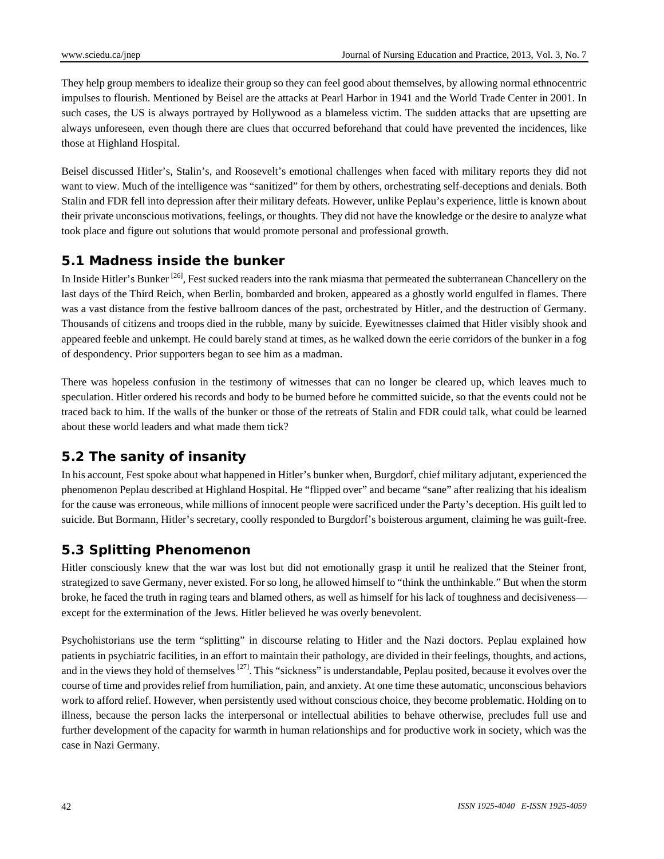They help group members to idealize their group so they can feel good about themselves, by allowing normal ethnocentric impulses to flourish. Mentioned by Beisel are the attacks at Pearl Harbor in 1941 and the World Trade Center in 2001. In such cases, the US is always portrayed by Hollywood as a blameless victim. The sudden attacks that are upsetting are always unforeseen, even though there are clues that occurred beforehand that could have prevented the incidences, like those at Highland Hospital.

Beisel discussed Hitler's, Stalin's, and Roosevelt's emotional challenges when faced with military reports they did not want to view. Much of the intelligence was "sanitized" for them by others, orchestrating self-deceptions and denials. Both Stalin and FDR fell into depression after their military defeats. However, unlike Peplau's experience, little is known about their private unconscious motivations, feelings, or thoughts. They did not have the knowledge or the desire to analyze what took place and figure out solutions that would promote personal and professional growth.

#### **5.1 Madness inside the bunker**

In Inside Hitler's Bunker<sup>[26]</sup>, Fest sucked readers into the rank miasma that permeated the subterranean Chancellery on the last days of the Third Reich, when Berlin, bombarded and broken, appeared as a ghostly world engulfed in flames. There was a vast distance from the festive ballroom dances of the past, orchestrated by Hitler, and the destruction of Germany. Thousands of citizens and troops died in the rubble, many by suicide. Eyewitnesses claimed that Hitler visibly shook and appeared feeble and unkempt. He could barely stand at times, as he walked down the eerie corridors of the bunker in a fog of despondency. Prior supporters began to see him as a madman.

There was hopeless confusion in the testimony of witnesses that can no longer be cleared up, which leaves much to speculation. Hitler ordered his records and body to be burned before he committed suicide, so that the events could not be traced back to him. If the walls of the bunker or those of the retreats of Stalin and FDR could talk, what could be learned about these world leaders and what made them tick?

### **5.2 The sanity of insanity**

In his account, Fest spoke about what happened in Hitler's bunker when, Burgdorf, chief military adjutant, experienced the phenomenon Peplau described at Highland Hospital. He "flipped over" and became "sane" after realizing that his idealism for the cause was erroneous, while millions of innocent people were sacrificed under the Party's deception. His guilt led to suicide. But Bormann, Hitler's secretary, coolly responded to Burgdorf's boisterous argument, claiming he was guilt-free.

### **5.3 Splitting Phenomenon**

Hitler consciously knew that the war was lost but did not emotionally grasp it until he realized that the Steiner front, strategized to save Germany, never existed. For so long, he allowed himself to "think the unthinkable." But when the storm broke, he faced the truth in raging tears and blamed others, as well as himself for his lack of toughness and decisiveness except for the extermination of the Jews. Hitler believed he was overly benevolent.

Psychohistorians use the term "splitting" in discourse relating to Hitler and the Nazi doctors. Peplau explained how patients in psychiatric facilities, in an effort to maintain their pathology, are divided in their feelings, thoughts, and actions, and in the views they hold of themselves <sup>[27]</sup>. This "sickness" is understandable, Peplau posited, because it evolves over the course of time and provides relief from humiliation, pain, and anxiety. At one time these automatic, unconscious behaviors work to afford relief. However, when persistently used without conscious choice, they become problematic. Holding on to illness, because the person lacks the interpersonal or intellectual abilities to behave otherwise, precludes full use and further development of the capacity for warmth in human relationships and for productive work in society, which was the case in Nazi Germany.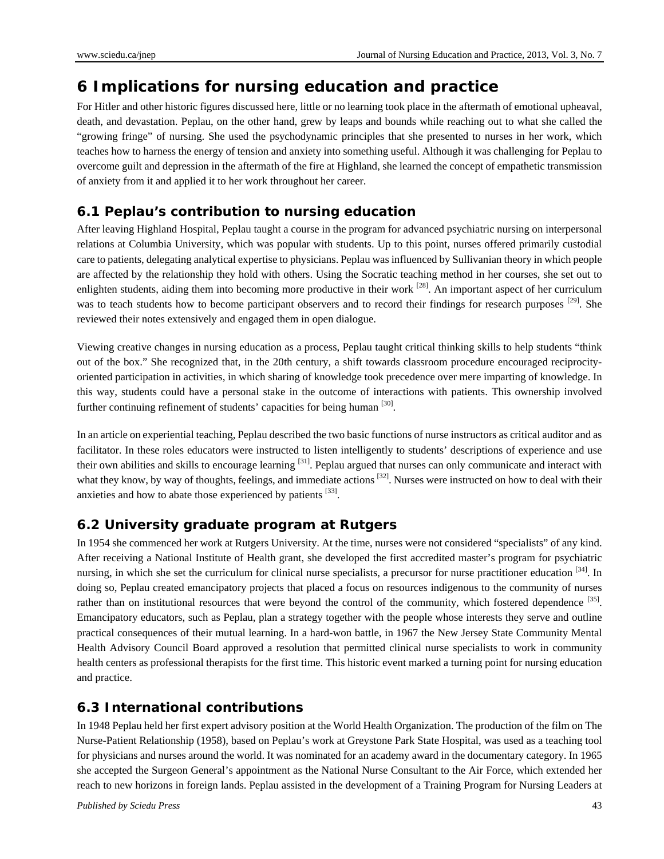### **6 Implications for nursing education and practice**

For Hitler and other historic figures discussed here, little or no learning took place in the aftermath of emotional upheaval, death, and devastation. Peplau, on the other hand, grew by leaps and bounds while reaching out to what she called the "growing fringe" of nursing. She used the psychodynamic principles that she presented to nurses in her work, which teaches how to harness the energy of tension and anxiety into something useful. Although it was challenging for Peplau to overcome guilt and depression in the aftermath of the fire at Highland, she learned the concept of empathetic transmission of anxiety from it and applied it to her work throughout her career.

### **6.1 Peplau's contribution to nursing education**

After leaving Highland Hospital, Peplau taught a course in the program for advanced psychiatric nursing on interpersonal relations at Columbia University, which was popular with students. Up to this point, nurses offered primarily custodial care to patients, delegating analytical expertise to physicians. Peplau was influenced by Sullivanian theory in which people are affected by the relationship they hold with others. Using the Socratic teaching method in her courses, she set out to enlighten students, aiding them into becoming more productive in their work <sup>[28]</sup>. An important aspect of her curriculum was to teach students how to become participant observers and to record their findings for research purposes [29]. She reviewed their notes extensively and engaged them in open dialogue.

Viewing creative changes in nursing education as a process, Peplau taught critical thinking skills to help students "think out of the box." She recognized that, in the 20th century, a shift towards classroom procedure encouraged reciprocityoriented participation in activities, in which sharing of knowledge took precedence over mere imparting of knowledge. In this way, students could have a personal stake in the outcome of interactions with patients. This ownership involved further continuing refinement of students' capacities for being human [30].

In an article on experiential teaching, Peplau described the two basic functions of nurse instructors as critical auditor and as facilitator. In these roles educators were instructed to listen intelligently to students' descriptions of experience and use their own abilities and skills to encourage learning [31]. Peplau argued that nurses can only communicate and interact with what they know, by way of thoughts, feelings, and immediate actions  $^{[32]}$ . Nurses were instructed on how to deal with their anxieties and how to abate those experienced by patients [33].

### **6.2 University graduate program at Rutgers**

In 1954 she commenced her work at Rutgers University. At the time, nurses were not considered "specialists" of any kind. After receiving a National Institute of Health grant, she developed the first accredited master's program for psychiatric nursing, in which she set the curriculum for clinical nurse specialists, a precursor for nurse practitioner education  $[34]$ . In doing so, Peplau created emancipatory projects that placed a focus on resources indigenous to the community of nurses rather than on institutional resources that were beyond the control of the community, which fostered dependence [35]. Emancipatory educators, such as Peplau, plan a strategy together with the people whose interests they serve and outline practical consequences of their mutual learning. In a hard-won battle, in 1967 the New Jersey State Community Mental Health Advisory Council Board approved a resolution that permitted clinical nurse specialists to work in community health centers as professional therapists for the first time. This historic event marked a turning point for nursing education and practice.

### **6.3 International contributions**

In 1948 Peplau held her first expert advisory position at the World Health Organization. The production of the film on The Nurse-Patient Relationship (1958), based on Peplau's work at Greystone Park State Hospital, was used as a teaching tool for physicians and nurses around the world. It was nominated for an academy award in the documentary category. In 1965 she accepted the Surgeon General's appointment as the National Nurse Consultant to the Air Force, which extended her reach to new horizons in foreign lands. Peplau assisted in the development of a Training Program for Nursing Leaders at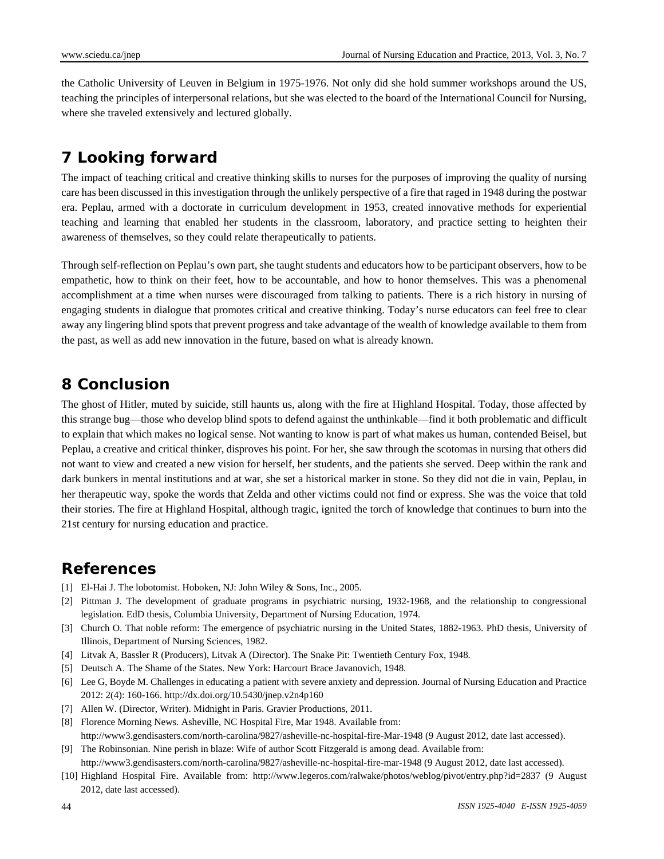the Catholic University of Leuven in Belgium in 1975-1976. Not only did she hold summer workshops around the US, teaching the principles of interpersonal relations, but she was elected to the board of the International Council for Nursing, where she traveled extensively and lectured globally.

# **7 Looking forward**

The impact of teaching critical and creative thinking skills to nurses for the purposes of improving the quality of nursing care has been discussed in this investigation through the unlikely perspective of a fire that raged in 1948 during the postwar era. Peplau, armed with a doctorate in curriculum development in 1953, created innovative methods for experiential teaching and learning that enabled her students in the classroom, laboratory, and practice setting to heighten their awareness of themselves, so they could relate therapeutically to patients.

Through self-reflection on Peplau's own part, she taught students and educators how to be participant observers, how to be empathetic, how to think on their feet, how to be accountable, and how to honor themselves. This was a phenomenal accomplishment at a time when nurses were discouraged from talking to patients. There is a rich history in nursing of engaging students in dialogue that promotes critical and creative thinking. Today's nurse educators can feel free to clear away any lingering blind spots that prevent progress and take advantage of the wealth of knowledge available to them from the past, as well as add new innovation in the future, based on what is already known.

### **8 Conclusion**

The ghost of Hitler, muted by suicide, still haunts us, along with the fire at Highland Hospital. Today, those affected by this strange bug—those who develop blind spots to defend against the unthinkable—find it both problematic and difficult to explain that which makes no logical sense. Not wanting to know is part of what makes us human, contended Beisel, but Peplau, a creative and critical thinker, disproves his point. For her, she saw through the scotomas in nursing that others did not want to view and created a new vision for herself, her students, and the patients she served. Deep within the rank and dark bunkers in mental institutions and at war, she set a historical marker in stone. So they did not die in vain, Peplau, in her therapeutic way, spoke the words that Zelda and other victims could not find or express. She was the voice that told their stories. The fire at Highland Hospital, although tragic, ignited the torch of knowledge that continues to burn into the 21st century for nursing education and practice.

### **References**

- [1] El-Hai J. The lobotomist. Hoboken, NJ: John Wiley & Sons, Inc., 2005.
- [2] Pittman J. The development of graduate programs in psychiatric nursing, 1932-1968, and the relationship to congressional legislation. EdD thesis, Columbia University, Department of Nursing Education, 1974.
- [3] Church O. That noble reform: The emergence of psychiatric nursing in the United States, 1882-1963. PhD thesis, University of Illinois, Department of Nursing Sciences, 1982.
- [4] Litvak A, Bassler R (Producers), Litvak A (Director). The Snake Pit: Twentieth Century Fox, 1948.
- [5] Deutsch A. The Shame of the States. New York: Harcourt Brace Javanovich, 1948.
- [6] Lee G, Boyde M. Challenges in educating a patient with severe anxiety and depression. Journal of Nursing Education and Practice 2012: 2(4): 160-166. http://dx.doi.org/10.5430/jnep.v2n4p160
- [7] Allen W. (Director, Writer). Midnight in Paris. Gravier Productions, 2011.
- [8] Florence Morning News. Asheville, NC Hospital Fire, Mar 1948. Available from: http://www3.gendisasters.com/north-carolina/9827/asheville-nc-hospital-fire-Mar-1948 (9 August 2012, date last accessed).
- [9] The Robinsonian. Nine perish in blaze: Wife of author Scott Fitzgerald is among dead. Available from: http://www3.gendisasters.com/north-carolina/9827/asheville-nc-hospital-fire-mar-1948 (9 August 2012, date last accessed).
- [10] Highland Hospital Fire. Available from: http://www.legeros.com/ralwake/photos/weblog/pivot/entry.php?id=2837 (9 August 2012, date last accessed).